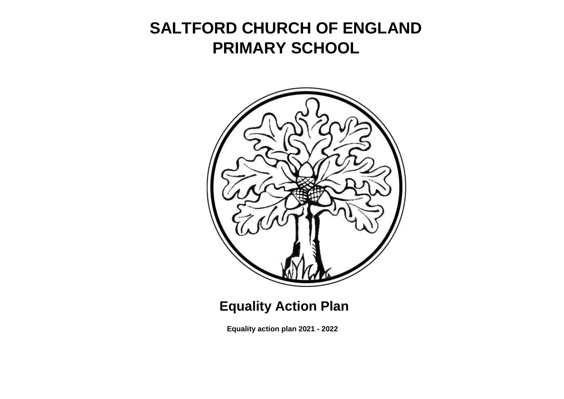# **SALTFORD CHURCH OF ENGLAND PRIMARY SCHOOL**



## **Equality Action Plan**

**Equality action plan 2021 - 2022**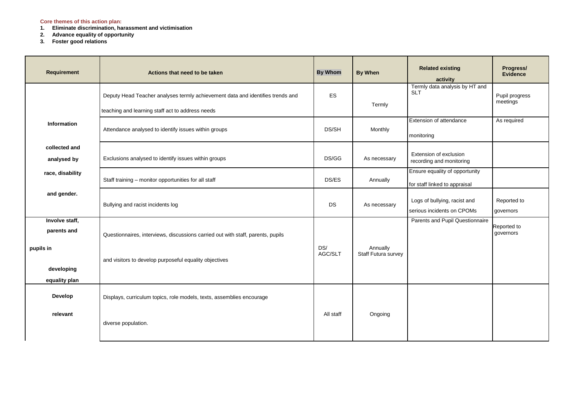#### **Core themes of this action plan:**

- **1. Eliminate discrimination, harassment and victimisation**
- **2. Advance equality of opportunity**
- **3. Foster good relations**

| <b>Requirement</b>                         | Actions that need to be taken                                                                                                      | <b>By Whom</b> | <b>By When</b>      | <b>Related existing</b><br>activity                             | Progress/<br><b>Evidence</b> |
|--------------------------------------------|------------------------------------------------------------------------------------------------------------------------------------|----------------|---------------------|-----------------------------------------------------------------|------------------------------|
|                                            | Deputy Head Teacher analyses termly achievement data and identifies trends and<br>teaching and learning staff act to address needs | <b>ES</b>      | Termly              | Termly data analysis by HT and<br><b>SLT</b>                    | Pupil progress<br>meetings   |
| <b>Information</b>                         | Attendance analysed to identify issues within groups                                                                               | DS/SH          | Monthly             | Extension of attendance<br>monitoring                           | As required                  |
| collected and<br>analysed by               | Exclusions analysed to identify issues within groups                                                                               | DS/GG          | As necessary        | Extension of exclusion<br>recording and monitoring              |                              |
| race, disability                           | Staff training - monitor opportunities for all staff                                                                               | DS/ES          | Annually            | Ensure equality of opportunity<br>for staff linked to appraisal |                              |
| and gender.                                | Bullying and racist incidents log                                                                                                  | DS             | As necessary        | Logs of bullying, racist and<br>serious incidents on CPOMs      | Reported to<br>governors     |
| Involve staff,<br>parents and<br>pupils in | Questionnaires, interviews, discussions carried out with staff, parents, pupils                                                    | DS/            | Annually            | Parents and Pupil Questionnaire                                 | Reported to<br>governors     |
| developing<br>equality plan                | and visitors to develop purposeful equality objectives                                                                             | AGC/SLT        | Staff Futura survey |                                                                 |                              |
| <b>Develop</b>                             | Displays, curriculum topics, role models, texts, assemblies encourage                                                              |                |                     |                                                                 |                              |
| relevant                                   | diverse population.                                                                                                                | All staff      | Ongoing             |                                                                 |                              |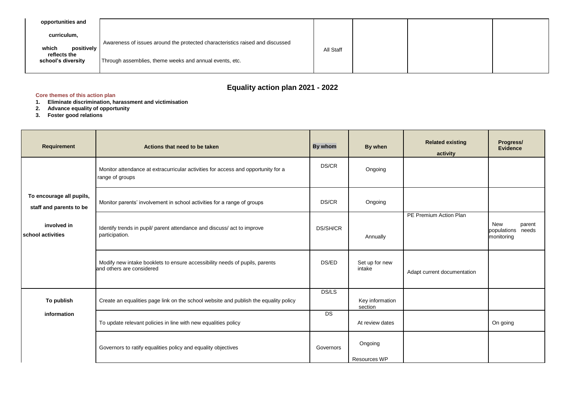| opportunities and                                                        |                                                                                                                                          |           |  |  |
|--------------------------------------------------------------------------|------------------------------------------------------------------------------------------------------------------------------------------|-----------|--|--|
| curriculum,<br>positively<br>which<br>reflects the<br>school's diversity | Awareness of issues around the protected characteristics raised and discussed<br>Through assemblies, theme weeks and annual events, etc. | All Staff |  |  |

### **Equality action plan 2021 - 2022**

#### **Core themes of this action plan**

- **1. Eliminate discrimination, harassment and victimisation**
- **2. Advance equality of opportunity**
- **3. Foster good relations**

| <b>Requirement</b>                                  | Actions that need to be taken                                                                            | By whom      | By when                    | <b>Related existing</b><br>activity | Progress/<br><b>Evidence</b>                            |
|-----------------------------------------------------|----------------------------------------------------------------------------------------------------------|--------------|----------------------------|-------------------------------------|---------------------------------------------------------|
|                                                     | Monitor attendance at extracurricular activities for access and opportunity for a<br>range of groups     | DS/CR        | Ongoing                    |                                     |                                                         |
| To encourage all pupils,<br>staff and parents to be | Monitor parents' involvement in school activities for a range of groups                                  | DS/CR        | Ongoing                    |                                     |                                                         |
| involved in<br>school activities                    | Identify trends in pupil/ parent attendance and discuss/ act to improve<br>participation.                | DS/SH/CR     | Annually                   | PE Premium Action Plan              | <b>New</b><br>parent<br>populations needs<br>monitoring |
|                                                     | Modify new intake booklets to ensure accessibility needs of pupils, parents<br>and others are considered | DS/ED        | Set up for new<br>intake   | Adapt current documentation         |                                                         |
| To publish                                          | Create an equalities page link on the school website and publish the equality policy                     | <b>DS/LS</b> | Key information<br>section |                                     |                                                         |
| information                                         | To update relevant policies in line with new equalities policy                                           | <b>DS</b>    | At review dates            |                                     | On going                                                |
|                                                     | Governors to ratify equalities policy and equality objectives                                            | Governors    | Ongoing<br>Resources WP    |                                     |                                                         |